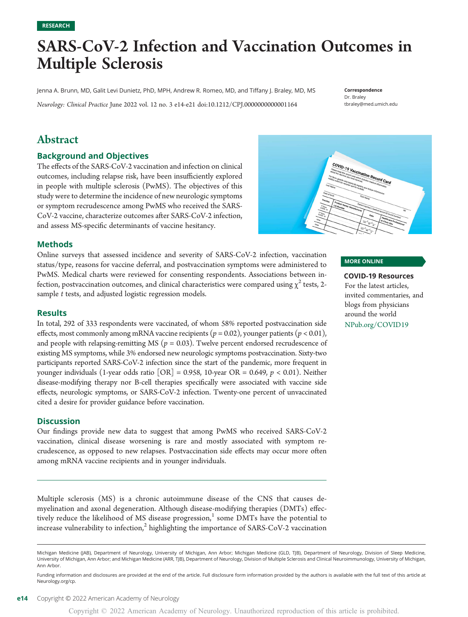Copyright © 2022 American Academy of Neurology. Unauthorized reproduction of this article is prohibited.

## **RESEARCH**

# SARS-CoV-2 Infection and Vaccination Outcomes in Multiple Sclerosis

Jenna A. Brunn, MD, Galit Levi Dunietz, PhD, MPH, Andrew R. Romeo, MD, and Tiffany J. Braley, MD, MS

Neurology: Clinical Practice June 2022 vol. 12 no. 3 e14-e21 doi:[10.1212/CPJ.0000000000001164](http://dx.doi.org/10.1212/CPJ.0000000000001164)

## Abstract

## Background and Objectives

The effects of the SARS-CoV-2 vaccination and infection on clinical outcomes, including relapse risk, have been insufficiently explored in people with multiple sclerosis (PwMS). The objectives of this study were to determine the incidence of new neurologic symptoms or symptom recrudescence among PwMS who received the SARS-CoV-2 vaccine, characterize outcomes after SARS-CoV-2 infection, and assess MS-specific determinants of vaccine hesitancy.

## Methods

Online surveys that assessed incidence and severity of SARS-CoV-2 infection, vaccination status/type, reasons for vaccine deferral, and postvaccination symptoms were administered to PwMS. Medical charts were reviewed for consenting respondents. Associations between infection, postvaccination outcomes, and clinical characteristics were compared using  $\chi^2$  tests, 2sample *t* tests, and adjusted logistic regression models.

#### **Results**

In total, 292 of 333 respondents were vaccinated, of whom 58% reported postvaccination side effects, most commonly among mRNA vaccine recipients ( $p = 0.02$ ), younger patients ( $p < 0.01$ ), and people with relapsing-remitting MS ( $p = 0.03$ ). Twelve percent endorsed recrudescence of existing MS symptoms, while 3% endorsed new neurologic symptoms postvaccination. Sixty-two participants reported SARS-CoV-2 infection since the start of the pandemic, more frequent in younger individuals (1-year odds ratio  $[OR] = 0.958$ , 10-year OR = 0.649,  $p < 0.01$ ). Neither disease-modifying therapy nor B-cell therapies specifically were associated with vaccine side effects, neurologic symptoms, or SARS-CoV-2 infection. Twenty-one percent of unvaccinated cited a desire for provider guidance before vaccination.

#### Discussion

Our findings provide new data to suggest that among PwMS who received SARS-CoV-2 vaccination, clinical disease worsening is rare and mostly associated with symptom recrudescence, as opposed to new relapses. Postvaccination side effects may occur more often among mRNA vaccine recipients and in younger individuals.

Multiple sclerosis (MS) is a chronic autoimmune disease of the CNS that causes demyelination and axonal degeneration. Although disease-modifying therapies (DMTs) effectively reduce the likelihood of MS disease progression, $1$  some DMTs have the potential to increase vulnerability to infection, $^2$  highlighting the importance of SARS-CoV-2 vaccination



Correspondence Dr. Braley

[tbraley@med.umich.edu](mailto:tbraley@med.umich.edu)

## MORE ONLINE

#### COVID-19 Resources

For the latest articles, invited commentaries, and blogs from physicians around the world

[NPub.org/COVID19](http://NPub.org/COVID19)

Michigan Medicine (JAB), Department of Neurology, University of Michigan, Ann Arbor; Michigan Medicine (GLD, TJB), Department of Neurology, Division of Sleep Medicine, University of Michigan, Ann Arbor; and Michigan Medicine (ARR, TJB), Department of Neurology, Division of Multiple Sclerosis and Clinical Neuroimmunology, University of Michigan, Ann Arbor.

Funding information and disclosures are provided at the end of the article. Full disclosure form information provided by the authors is available with the full text of this article at [Neurology.org/cp](https://cp.neurology.org/lookup/doi/10.1212/CPJ.0000000000001164).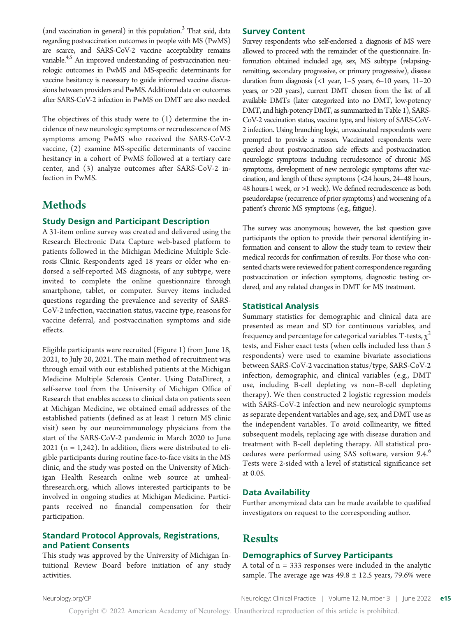(and vaccination in general) in this population.<sup>3</sup> That said, data regarding postvaccination outcomes in people with MS (PwMS) are scarce, and SARS-CoV-2 vaccine acceptability remains variable.<sup>4,5</sup> An improved understanding of postvaccination neurologic outcomes in PwMS and MS-specific determinants for vaccine hesitancy is necessary to guide informed vaccine discussions between providers and PwMS. Additional data on outcomes after SARS-CoV-2 infection in PwMS on DMT are also needed.

The objectives of this study were to (1) determine the incidence of new neurologic symptoms or recrudescence of MS symptoms among PwMS who received the SARS-CoV-2 vaccine, (2) examine MS-specific determinants of vaccine hesitancy in a cohort of PwMS followed at a tertiary care center, and (3) analyze outcomes after SARS-CoV-2 infection in PwMS.

## **Methods**

## Study Design and Participant Description

A 31-item online survey was created and delivered using the Research Electronic Data Capture web-based platform to patients followed in the Michigan Medicine Multiple Sclerosis Clinic. Respondents aged 18 years or older who endorsed a self-reported MS diagnosis, of any subtype, were invited to complete the online questionnaire through smartphone, tablet, or computer. Survey items included questions regarding the prevalence and severity of SARS-CoV-2 infection, vaccination status, vaccine type, reasons for vaccine deferral, and postvaccination symptoms and side effects.

Eligible participants were recruited (Figure 1) from June 18, 2021, to July 20, 2021. The main method of recruitment was through email with our established patients at the Michigan Medicine Multiple Sclerosis Center. Using DataDirect, a self-serve tool from the University of Michigan Office of Research that enables access to clinical data on patients seen at Michigan Medicine, we obtained email addresses of the established patients (defined as at least 1 return MS clinic visit) seen by our neuroimmunology physicians from the start of the SARS-CoV-2 pandemic in March 2020 to June  $2021$  (n = 1,242). In addition, fliers were distributed to eligible participants during routine face-to-face visits in the MS clinic, and the study was posted on the University of Michigan Health Research online web source at [umheal](http://www.umhealthresearch.org/)[thresearch.org,](http://www.umhealthresearch.org/) which allows interested participants to be involved in ongoing studies at Michigan Medicine. Participants received no financial compensation for their participation.

## Standard Protocol Approvals, Registrations, and Patient Consents

This study was approved by the University of Michigan Intuitional Review Board before initiation of any study activities.

#### Survey Content

Survey respondents who self-endorsed a diagnosis of MS were allowed to proceed with the remainder of the questionnaire. Information obtained included age, sex, MS subtype (relapsingremitting, secondary progressive, or primary progressive), disease duration from diagnosis (<1 year, 1–5 years, 6–10 years, 11–20 years, or >20 years), current DMT chosen from the list of all available DMTs (later categorized into no DMT, low-potency DMT, and high-potency DMT, as summarized in Table 1), SARS-CoV-2 vaccination status, vaccine type, and history of SARS-CoV-2 infection. Using branching logic, unvaccinated respondents were prompted to provide a reason. Vaccinated respondents were queried about postvaccination side effects and postvaccination neurologic symptoms including recrudescence of chronic MS symptoms, development of new neurologic symptoms after vaccination, and length of these symptoms (<24 hours, 24–48 hours, 48 hours-1 week, or >1 week). We defined recrudescence as both pseudorelapse (recurrence of prior symptoms) and worsening of a patient's chronic MS symptoms (e.g., fatigue).

The survey was anonymous; however, the last question gave participants the option to provide their personal identifying information and consent to allow the study team to review their medical records for confirmation of results. For those who consented charts were reviewed for patient correspondence regarding postvaccination or infection symptoms, diagnostic testing ordered, and any related changes in DMT for MS treatment.

#### Statistical Analysis

Summary statistics for demographic and clinical data are presented as mean and SD for continuous variables, and frequency and percentage for categorical variables. T-tests,  $\chi^2$ tests, and Fisher exact tests (when cells included less than 5 respondents) were used to examine bivariate associations between SARS-CoV-2 vaccination status/type, SARS-CoV-2 infection, demographic, and clinical variables (e.g., DMT use, including B-cell depleting vs non–B-cell depleting therapy). We then constructed 2 logistic regression models with SARS-CoV-2 infection and new neurologic symptoms as separate dependent variables and age, sex, and DMT use as the independent variables. To avoid collinearity, we fitted subsequent models, replacing age with disease duration and treatment with B-cell depleting therapy. All statistical procedures were performed using SAS software, version 9.4.<sup>6</sup> Tests were 2-sided with a level of statistical significance set at 0.05.

## Data Availability

Further anonymized data can be made available to qualified investigators on request to the corresponding author.

## Results

#### Demographics of Survey Participants

A total of  $n = 333$  responses were included in the analytic sample. The average age was  $49.8 \pm 12.5$  years, 79.6% were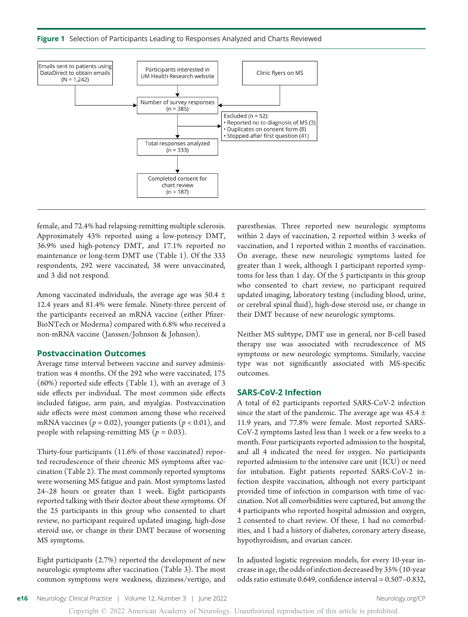Figure 1 Selection of Participants Leading to Responses Analyzed and Charts Reviewed



female, and 72.4% had relapsing-remitting multiple sclerosis. Approximately 43% reported using a low-potency DMT, 36.9% used high-potency DMT, and 17.1% reported no maintenance or long-term DMT use (Table 1). Of the 333 respondents, 292 were vaccinated, 38 were unvaccinated, and 3 did not respond.

Among vaccinated individuals, the average age was  $50.4 \pm$ 12.4 years and 81.4% were female. Ninety-three percent of the participants received an mRNA vaccine (either Pfizer-BioNTech or Moderna) compared with 6.8% who received a non-mRNA vaccine (Janssen/Johnson & Johnson).

#### Postvaccination Outcomes

Average time interval between vaccine and survey administration was 4 months. Of the 292 who were vaccinated, 175 (60%) reported side effects (Table 1), with an average of 3 side effects per individual. The most common side effects included fatigue, arm pain, and myalgias. Postvaccination side effects were most common among those who received mRNA vaccines ( $p = 0.02$ ), younger patients ( $p < 0.01$ ), and people with relapsing-remitting MS ( $p = 0.03$ ).

Thirty-four participants (11.6% of those vaccinated) reported recrudescence of their chronic MS symptoms after vaccination (Table 2). The most commonly reported symptoms were worsening MS fatigue and pain. Most symptoms lasted 24–28 hours or greater than 1 week. Eight participants reported talking with their doctor about these symptoms. Of the 25 participants in this group who consented to chart review, no participant required updated imaging, high-dose steroid use, or change in their DMT because of worsening MS symptoms.

Eight participants (2.7%) reported the development of new neurologic symptoms after vaccination (Table 3). The most common symptoms were weakness, dizziness/vertigo, and paresthesias. Three reported new neurologic symptoms within 2 days of vaccination, 2 reported within 3 weeks of vaccination, and 1 reported within 2 months of vaccination. On average, these new neurologic symptoms lasted for greater than 1 week, although 1 participant reported symptoms for less than 1 day. Of the 5 participants in this group who consented to chart review, no participant required updated imaging, laboratory testing (including blood, urine, or cerebral spinal fluid), high-dose steroid use, or change in their DMT because of new neurologic symptoms.

Neither MS subtype, DMT use in general, nor B-cell based therapy use was associated with recrudescence of MS symptoms or new neurologic symptoms. Similarly, vaccine type was not significantly associated with MS-specific outcomes.

#### SARS-CoV-2 Infection

A total of 62 participants reported SARS-CoV-2 infection since the start of the pandemic. The average age was  $45.4 \pm$ 11.9 years, and 77.8% were female. Most reported SARS-CoV-2 symptoms lasted less than 1 week or a few weeks to a month. Four participants reported admission to the hospital, and all 4 indicated the need for oxygen. No participants reported admission to the intensive care unit (ICU) or need for intubation. Eight patients reported SARS-CoV-2 infection despite vaccination, although not every participant provided time of infection in comparison with time of vaccination. Not all comorbidities were captured, but among the 4 participants who reported hospital admission and oxygen, 2 consented to chart review. Of these, 1 had no comorbidities, and 1 had a history of diabetes, coronary artery disease, hypothyroidism, and ovarian cancer.

In adjusted logistic regression models, for every 10-year increase in age, the odds of infection decreased by 35% (10-year odds ratio estimate 0.649, confidence interval = 0.507–0.832,

Copyright © 2022 American Academy of Neurology. Unauthorized reproduction of this article is prohibited.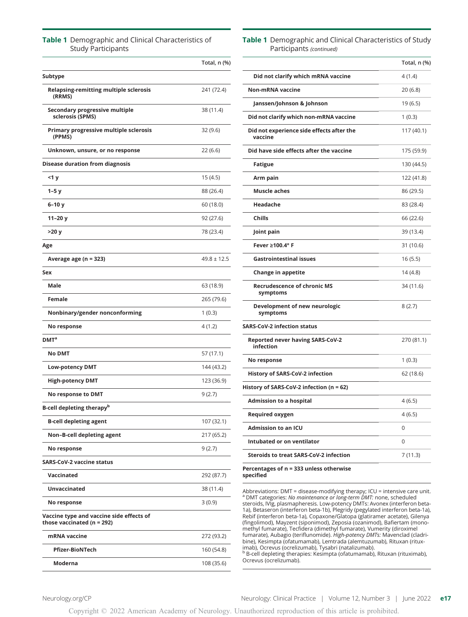#### Table 1 Demographic and Clinical Characteristics of Study Participants

|                                                                            | Total, n (%)    |
|----------------------------------------------------------------------------|-----------------|
| Subtype                                                                    |                 |
| Relapsing-remitting multiple sclerosis<br>(RRMS)                           | 241 (72.4)      |
| Secondary progressive multiple<br>sclerosis (SPMS)                         | 38 (11.4)       |
| Primary progressive multiple sclerosis<br>(PPMS)                           | 32 (9.6)        |
| Unknown, unsure, or no response                                            | 22 (6.6)        |
| Disease duration from diagnosis                                            |                 |
| <1 y                                                                       | 15 (4.5)        |
| $1-5y$                                                                     | 88 (26.4)       |
| $6-10y$                                                                    | 60 (18.0)       |
| 11–20 y                                                                    | 92 (27.6)       |
| >20 y                                                                      | 78 (23.4)       |
| Age                                                                        |                 |
| Average age (n = 323)                                                      | $49.8 \pm 12.5$ |
| Sex                                                                        |                 |
| Male                                                                       | 63 (18.9)       |
| Female                                                                     | 265 (79.6)      |
| Nonbinary/gender nonconforming                                             | 1(0.3)          |
| No response                                                                | 4 (1.2)         |
| DMT <sup>a</sup>                                                           |                 |
| <b>No DMT</b>                                                              | 57 (17.1)       |
| Low-potency DMT                                                            | 144 (43.2)      |
| <b>High-potency DMT</b>                                                    | 123 (36.9)      |
| No response to DMT                                                         | 9 (2.7)         |
| B-cell depleting therapy <sup>b</sup>                                      |                 |
| <b>B-cell depleting agent</b>                                              | 107 (32.1)      |
| Non-B-cell depleting agent                                                 | 217 (65.2)      |
| No response                                                                | 9(2.7)          |
| <b>SARS-CoV-2 vaccine status</b>                                           |                 |
| Vaccinated                                                                 | 292 (87.7)      |
| <b>Unvaccinated</b>                                                        | 38 (11.4)       |
| No response                                                                | 3(0.9)          |
| Vaccine type and vaccine side effects of<br>those vaccinated ( $n = 292$ ) |                 |
| mRNA vaccine                                                               | 272 (93.2)      |
| <b>Pfizer-BioNTech</b>                                                     | 160 (54.8)      |
| Moderna                                                                    | 108 (35.6)      |

#### Table 1 Demographic and Clinical Characteristics of Study Participants (continued)

|                                                      | Total, n (%) |
|------------------------------------------------------|--------------|
| Did not clarify which mRNA vaccine                   | 4 (1.4)      |
| <b>Non-mRNA vaccine</b>                              | 20 (6.8)     |
| Janssen/Johnson & Johnson                            | 19 (6.5)     |
| Did not clarify which non-mRNA vaccine               | 1(0.3)       |
| Did not experience side effects after the<br>vaccine | 117 (40.1)   |
| Did have side effects after the vaccine              | 175 (59.9)   |
| <b>Fatigue</b>                                       | 130 (44.5)   |
| Arm pain                                             | 122 (41.8)   |
| <b>Muscle aches</b>                                  | 86 (29.5)    |
| Headache                                             | 83 (28.4)    |
| <b>Chills</b>                                        | 66 (22.6)    |
| Joint pain                                           | 39 (13.4)    |
| Fever ≥100.4° F                                      | 31 (10.6)    |
| <b>Gastrointestinal issues</b>                       | 16(5.5)      |
| <b>Change in appetite</b>                            | 14(4.8)      |
| <b>Recrudescence of chronic MS</b><br>symptoms       | 34 (11.6)    |
| Development of new neurologic<br>symptoms            | 8(2.7)       |
| <b>SARS-CoV-2 infection status</b>                   |              |
| <b>Reported never having SARS-CoV-2</b><br>infection | 270 (81.1)   |
| No response                                          | 1(0.3)       |
| <b>History of SARS-CoV-2 infection</b>               | 62 (18.6)    |
| History of SARS-CoV-2 infection (n = 62)             |              |
| <b>Admission to a hospital</b>                       | 4 (6.5)      |
| Required oxygen                                      | 4 (6.5)      |
| <b>Admission to an ICU</b>                           | 0            |
| Intubated or on ventilator                           | $\Omega$     |
| <b>Steroids to treat SARS-CoV-2 infection</b>        | 7(11.3)      |

Percentages of n = 333 unless otherwise specified

Abbreviations: DMT = disease-modifying therapy; ICU = intensive care unit.<br><sup>a</sup> DMT categories: *No maintenance or long-term DMT:* none, scheduled steroids, IVIg, plasmapheresis. Low-potency DMTs: Avonex (interferon beta-1a), Betaseron (interferon beta-1b), Plegridy (pegylated interferon beta-1a), Rebif (interferon beta-1a), Copaxone/Glatopa (glatiramer acetate), Gilenya<br>(fingolimod), Mayzent (siponimod), Zeposia (ozanimod), Bafiertam (mono-<br>methyl fumarate), Tecfidera (dimethyl fumarate), Vumerity (diroximel<br>fumara bine), Kesimpta (ofatumamab), Lemtrada (alemtuzumab), Rituxan (ritux-imab), Ocrevus (ocrelizumab), Tysabri (natalizumab). <sup>b</sup> B-cell depleting therapies: Kesimpta (ofatumamab), Rituxan (rituximab),<br>Ocrevus (ocrelizumab).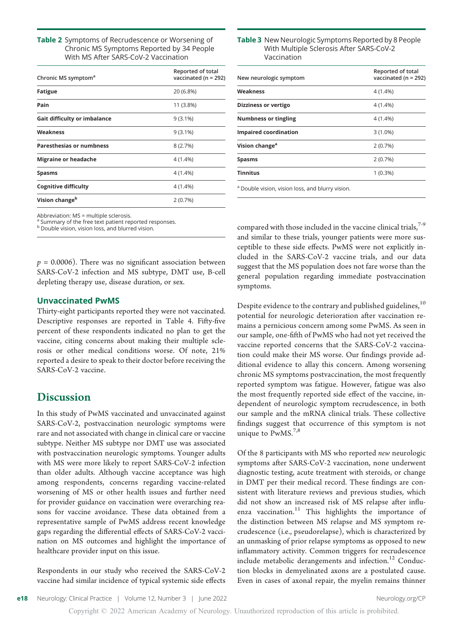Table 2 Symptoms of Recrudescence or Worsening of Chronic MS Symptoms Reported by 34 People With MS After SARS-CoV-2 Vaccination

| Chronic MS symptom <sup>a</sup>     | Reported of total<br>vaccinated ( $n = 292$ ) |  |
|-------------------------------------|-----------------------------------------------|--|
| <b>Fatigue</b>                      | 20 (6.8%)                                     |  |
| Pain                                | 11 (3.8%)                                     |  |
| <b>Gait difficulty or imbalance</b> | $9(3.1\%)$                                    |  |
| Weakness                            | $9(3.1\%)$                                    |  |
| <b>Paresthesias or numbness</b>     | 8(2.7%)                                       |  |
| <b>Migraine or headache</b>         | 4 (1.4%)                                      |  |
| Spasms                              | $4(1.4\%)$                                    |  |
| <b>Cognitive difficulty</b>         | 4 (1.4%)                                      |  |
| Vision change <sup>b</sup>          | 2(0.7%)                                       |  |

Abbreviation:  $MS = \text{multiple} \text{ selections.}$ 

Summary of the free text patient reported responses.

**b** Double vision, vision loss, and blurred vision.

 $p = 0.0006$ ). There was no significant association between SARS-CoV-2 infection and MS subtype, DMT use, B-cell depleting therapy use, disease duration, or sex.

#### Unvaccinated PwMS

Thirty-eight participants reported they were not vaccinated. Descriptive responses are reported in Table 4. Fifty-five percent of these respondents indicated no plan to get the vaccine, citing concerns about making their multiple sclerosis or other medical conditions worse. Of note, 21% reported a desire to speak to their doctor before receiving the SARS-CoV-2 vaccine.

## **Discussion**

In this study of PwMS vaccinated and unvaccinated against SARS-CoV-2, postvaccination neurologic symptoms were rare and not associated with change in clinical care or vaccine subtype. Neither MS subtype nor DMT use was associated with postvaccination neurologic symptoms. Younger adults with MS were more likely to report SARS-CoV-2 infection than older adults. Although vaccine acceptance was high among respondents, concerns regarding vaccine-related worsening of MS or other health issues and further need for provider guidance on vaccination were overarching reasons for vaccine avoidance. These data obtained from a representative sample of PwMS address recent knowledge gaps regarding the differential effects of SARS-CoV-2 vaccination on MS outcomes and highlight the importance of healthcare provider input on this issue.

Respondents in our study who received the SARS-CoV-2 vaccine had similar incidence of typical systemic side effects

#### Table 3 New Neurologic Symptoms Reported by 8 People With Multiple Sclerosis After SARS-CoV-2 Vaccination

| New neurologic symptom       | Reported of total<br>vaccinated ( $n = 292$ ) |
|------------------------------|-----------------------------------------------|
| Weakness                     | $4(1.4\%)$                                    |
| Dizziness or vertigo         | $4(1.4\%)$                                    |
| <b>Numbness or tingling</b>  | $4(1.4\%)$                                    |
| <b>Impaired coordination</b> | $3(1.0\%)$                                    |
| Vision change <sup>a</sup>   | 2(0.7%)                                       |
| Spasms                       | 2(0.7%)                                       |
| <b>Tinnitus</b>              | $1(0.3\%)$                                    |
|                              |                                               |

<sup>a</sup> Double vision, vision loss, and blurry vision.

compared with those included in the vaccine clinical trials, $7-9$ and similar to these trials, younger patients were more susceptible to these side effects. PwMS were not explicitly included in the SARS-CoV-2 vaccine trials, and our data suggest that the MS population does not fare worse than the general population regarding immediate postvaccination symptoms.

Despite evidence to the contrary and published guidelines,<sup>10</sup> potential for neurologic deterioration after vaccination remains a pernicious concern among some PwMS. As seen in our sample, one-fifth of PwMS who had not yet received the vaccine reported concerns that the SARS-CoV-2 vaccination could make their MS worse. Our findings provide additional evidence to allay this concern. Among worsening chronic MS symptoms postvaccination, the most frequently reported symptom was fatigue. However, fatigue was also the most frequently reported side effect of the vaccine, independent of neurologic symptom recrudescence, in both our sample and the mRNA clinical trials. These collective findings suggest that occurrence of this symptom is not unique to  $PwMS.<sup>7,8</sup>$ 

Of the 8 participants with MS who reported new neurologic symptoms after SARS-CoV-2 vaccination, none underwent diagnostic testing, acute treatment with steroids, or change in DMT per their medical record. These findings are consistent with literature reviews and previous studies, which did not show an increased risk of MS relapse after influenza vaccination.<sup>11</sup> This highlights the importance of the distinction between MS relapse and MS symptom recrudescence (i.e., pseudorelapse), which is characterized by an unmasking of prior relapse symptoms as opposed to new inflammatory activity. Common triggers for recrudescence include metabolic derangements and infection. $12$  Conduction blocks in demyelinated axons are a postulated cause. Even in cases of axonal repair, the myelin remains thinner

Copyright © 2022 American Academy of Neurology. Unauthorized reproduction of this article is prohibited.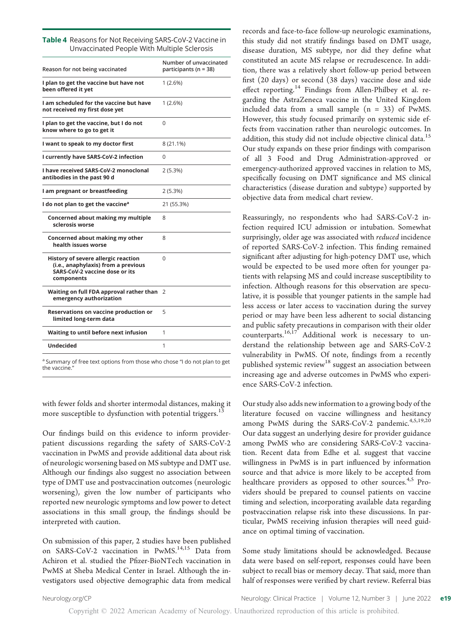| <b>Table 4</b> Reasons for Not Receiving SARS-CoV-2 Vaccine in |
|----------------------------------------------------------------|
| Unvaccinated People With Multiple Sclerosis                    |

| Reason for not being vaccinated                                                                                            | Number of unvaccinated<br>participants ( $n = 38$ ) |
|----------------------------------------------------------------------------------------------------------------------------|-----------------------------------------------------|
| I plan to get the vaccine but have not<br>been offered it yet                                                              | 1 (2.6%)                                            |
| I am scheduled for the vaccine but have<br>not received my first dose yet                                                  | 1(2.6%)                                             |
| I plan to get the vaccine, but I do not<br>know where to go to get it                                                      | 0                                                   |
| I want to speak to my doctor first                                                                                         | 8 (21.1%)                                           |
| I currently have SARS-CoV-2 infection                                                                                      | 0                                                   |
| I have received SARS-CoV-2 monoclonal<br>antibodies in the past 90 d                                                       | 2 (5.3%)                                            |
| I am pregnant or breastfeeding                                                                                             | 2 (5.3%)                                            |
| I do not plan to get the vaccine <sup>a</sup>                                                                              | 21 (55.3%)                                          |
| Concerned about making my multiple<br>sclerosis worse                                                                      | 8                                                   |
| Concerned about making my other<br>health issues worse                                                                     | 8                                                   |
| History of severe allergic reaction<br>(i.e., anaphylaxis) from a previous<br>SARS-CoV-2 vaccine dose or its<br>components | 0                                                   |
| Waiting on full FDA approval rather than<br>emergency authorization                                                        | 2                                                   |
| Reservations on vaccine production or<br>limited long-term data                                                            | 5                                                   |
| Waiting to until before next infusion                                                                                      | 1                                                   |
|                                                                                                                            |                                                     |

<sup>a</sup> Summary of free text options from those who chose "I do not plan to get the vaccine.

with fewer folds and shorter intermodal distances, making it more susceptible to dysfunction with potential triggers.<sup>13</sup>

Our findings build on this evidence to inform providerpatient discussions regarding the safety of SARS-CoV-2 vaccination in PwMS and provide additional data about risk of neurologic worsening based on MS subtype and DMT use. Although our findings also suggest no association between type of DMT use and postvaccination outcomes (neurologic worsening), given the low number of participants who reported new neurologic symptoms and low power to detect associations in this small group, the findings should be interpreted with caution.

On submission of this paper, 2 studies have been published on SARS-CoV-2 vaccination in PwMS.<sup>14,15</sup> Data from Achiron et al. studied the Pfizer-BioNTech vaccination in PwMS at Sheba Medical Center in Israel. Although the investigators used objective demographic data from medical

records and face-to-face follow-up neurologic examinations, this study did not stratify findings based on DMT usage, disease duration, MS subtype, nor did they define what constituted an acute MS relapse or recrudescence. In addition, there was a relatively short follow-up period between first (20 days) or second (38 days) vaccine dose and side effect reporting.<sup>14</sup> Findings from Allen-Philbey et al. regarding the AstraZeneca vaccine in the United Kingdom included data from a small sample  $(n = 33)$  of PwMS. However, this study focused primarily on systemic side effects from vaccination rather than neurologic outcomes. In addition, this study did not include objective clinical data.<sup>15</sup> Our study expands on these prior findings with comparison of all 3 Food and Drug Administration-approved or emergency-authorized approved vaccines in relation to MS, specifically focusing on DMT significance and MS clinical characteristics (disease duration and subtype) supported by objective data from medical chart review.

Reassuringly, no respondents who had SARS-CoV-2 infection required ICU admission or intubation. Somewhat surprisingly, older age was associated with reduced incidence of reported SARS-CoV-2 infection. This finding remained significant after adjusting for high-potency DMT use, which would be expected to be used more often for younger patients with relapsing MS and could increase susceptibility to infection. Although reasons for this observation are speculative, it is possible that younger patients in the sample had less access or later access to vaccination during the survey period or may have been less adherent to social distancing and public safety precautions in comparison with their older counterparts.<sup>16,17</sup> Additional work is necessary to understand the relationship between age and SARS-CoV-2 vulnerability in PwMS. Of note, findings from a recently published systemic review<sup>18</sup> suggest an association between increasing age and adverse outcomes in PwMS who experience SARS-CoV-2 infection.

Our study also adds new information to a growing body of the literature focused on vaccine willingness and hesitancy among PwMS during the SARS-CoV-2 pandemic.<sup>4,5,19,20</sup> Our data suggest an underlying desire for provider guidance among PwMS who are considering SARS-CoV-2 vaccination. Recent data from Edhe et al. suggest that vaccine willingness in PwMS is in part influenced by information source and that advice is more likely to be accepted from healthcare providers as opposed to other sources.<sup>4,5</sup> Providers should be prepared to counsel patients on vaccine timing and selection, incorporating available data regarding postvaccination relapse risk into these discussions. In particular, PwMS receiving infusion therapies will need guidance on optimal timing of vaccination.

Some study limitations should be acknowledged. Because data were based on self-report, responses could have been subject to recall bias or memory decay. That said, more than half of responses were verified by chart review. Referral bias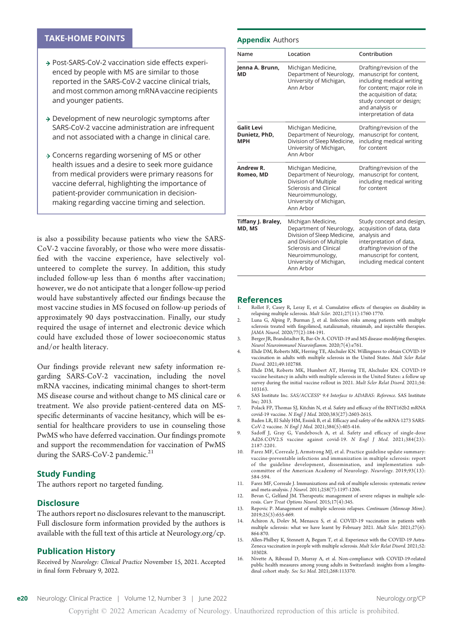#### TAKE-HOME POINTS

- → Post-SARS-CoV-2 vaccination side effects experienced by people with MS are similar to those reported in the SARS-CoV-2 vaccine clinical trials, and most common among mRNA vaccine recipients and younger patients.
- $\rightarrow$  Development of new neurologic symptoms after SARS-CoV-2 vaccine administration are infrequent and not associated with a change in clinical care.
- → Concerns regarding worsening of MS or other health issues and a desire to seek more guidance from medical providers were primary reasons for vaccine deferral, highlighting the importance of patient-provider communication in decisionmaking regarding vaccine timing and selection.

is also a possibility because patients who view the SARS-CoV-2 vaccine favorably, or those who were more dissatisfied with the vaccine experience, have selectively volunteered to complete the survey. In addition, this study included follow-up less than 6 months after vaccination; however, we do not anticipate that a longer follow-up period would have substantively affected our findings because the most vaccine studies in MS focused on follow-up periods of approximately 90 days postvaccination. Finally, our study required the usage of internet and electronic device which could have excluded those of lower socioeconomic status and/or health literacy.

Our findings provide relevant new safety information regarding SARS-CoV-2 vaccination, including the novel mRNA vaccines, indicating minimal changes to short-term MS disease course and without change to MS clinical care or treatment. We also provide patient-centered data on MSspecific determinants of vaccine hesitancy, which will be essential for healthcare providers to use in counseling those PwMS who have deferred vaccination. Our findings promote and support the recommendation for vaccination of PwMS during the SARS-CoV-2 pandemic.<sup>21</sup>

#### Study Funding

The authors report no targeted funding.

#### **Disclosure**

The authors report no disclosures relevant to the manuscript. Full disclosure form information provided by the authors is available with the full text of this article at [Neurology.org/cp](https://cp.neurology.org/lookup/doi/10.1212/CPJ.0000000000001164).

#### Publication History

Received by Neurology: Clinical Practice November 15, 2021. Accepted in final form February 9, 2022.

#### Appendix Authors

| Name                                             | Location                                                                                                                                                                                        | Contribution                                                                                                                                                                                                        |
|--------------------------------------------------|-------------------------------------------------------------------------------------------------------------------------------------------------------------------------------------------------|---------------------------------------------------------------------------------------------------------------------------------------------------------------------------------------------------------------------|
| Jenna A. Brunn,<br>МD                            | Michigan Medicine,<br>Department of Neurology,<br>University of Michigan,<br>Ann Arbor                                                                                                          | Drafting/revision of the<br>manuscript for content,<br>including medical writing<br>for content; major role in<br>the acquisition of data;<br>study concept or design;<br>and analysis or<br>interpretation of data |
| <b>Galit Levi</b><br>Dunietz, PhD,<br><b>MPH</b> | Michigan Medicine,<br>Department of Neurology,<br>Division of Sleep Medicine,<br>University of Michigan,<br>Ann Arhor                                                                           | Drafting/revision of the<br>manuscript for content,<br>including medical writing<br>for content                                                                                                                     |
| Andrew R.<br>Romeo, MD                           | Michigan Medicine,<br>Department of Neurology,<br>Division of Multiple<br>Sclerosis and Clinical<br>Neuroimmunology,<br>University of Michigan,<br>Ann Arbor                                    | Drafting/revision of the<br>manuscript for content,<br>including medical writing<br>for content                                                                                                                     |
| Tiffany J. Braley,<br>MD, MS                     | Michigan Medicine,<br>Department of Neurology,<br>Division of Sleep Medicine,<br>and Division of Multiple<br>Sclerosis and Clinical<br>Neuroimmunology,<br>University of Michigan,<br>Ann Arbor | Study concept and design,<br>acquisition of data, data<br>analysis and<br>interpretation of data,<br>drafting/revision of the<br>manuscript for content,<br>including medical content                               |

#### References

- Rollot F, Casey R, Leray E, et al. Cumulative effects of therapies on disability in relapsing multiple sclerosis. Mult Scler. 2021;27(11):1760-1770.
- 2. Luna G, Alping P, Burman J, et al. Infection risks among patients with multiple sclerosis treated with fingolimod, natalizumab, rituximab, and injectable therapies. JAMA Neurol. 2020;77(2):184-191.
- 3. Berger JR, Brandstadter R, Bar-Or A. COVID-19 and MS disease-modifying therapies. Neurol Neuroimmunol Neuroinflamm. 2020;7(4):e761.
- 4. Ehde DM, Roberts MK, Herring TE, Alschuler KN. Willingness to obtain COVID-19 vaccination in adults with multiple sclerosis in the United States. Mult Scler Relat Disord. 2021;49:102788.
- 5. Ehde DM, Roberts MK, Humbert AT, Herring TE, Alschuler KN. COVID-19 vaccine hesitancy in adults with multiple sclerosis in the United States: a follow up survey during the initial vaccine rollout in 2021. Mult Scler Relat Disord. 2021;54: 103163.
- 6. SAS Institute Inc. SAS/ACCESS® 9.4 Interface to ADABAS: Reference. SAS Institute Inc; 2013.
- 7. Polack FP, Thomas SJ, Kitchin N, et al. Safety and efficacy of the BNT162b2 mRNA covid-19 vaccine. N Engl J Med. 2020;383(27):2603-2615.
- 8. Baden LR, El Sahly HM, Essink B, et al. Efficacy and safety of the mRNA-1273 SARS-CoV-2 vaccine. N Engl J Med. 2021;384(5):403-416.
- 9. Sadoff J, Gray G, Vandebosch A, et al. Safety and efficacy of single-dose Ad26.COV2.S vaccine against covid-19. N Engl J Med. 2021;384(23): 2187-2201.
- 10. Farez MF, Correale J, Armstrong MJ, et al. Practice guideline update summary: vaccine-preventable infections and immunization in multiple sclerosis: report of the guideline development, dissemination, and implementation subcommittee of the American Academy of Neurology. Neurology. 2019;93(13): 584-594.
- 11. Farez MF, Correale J. Immunizations and risk of multiple sclerosis: systematic review and meta-analysis. J Neurol. 2011;258(7):1197-1206.
- 12. Bevan C, Gelfand JM. Therapeutic management of severe relapses in multiple sclerosis. Curr Treat Options Neurol. 2015;17(4):345.
- 13. Repovic P. Management of multiple sclerosis relapses. Continuum (Minneap Minn). 2019;25(3):655-669.
- 14. Achiron A, Dolev M, Menascu S, et al. COVID-19 vaccination in patients with multiple sclerosis: what we have learnt by February 2021. Mult Scler. 2021;27(6): 864-870.
- 15. Allen-Philbey K, Stennett A, Begum T, et al. Experience with the COVID-19 Astra-Zeneca vaccination in people with multiple sclerosis. Mult Scler Relat Disord. 2021;52: 103028.
- 16. Nivette A, Ribeaud D, Murray A, et al. Non-compliance with COVID-19-related public health measures among young adults in Switzerland: insights from a longitudinal cohort study. Soc Sci Med. 2021;268:113370.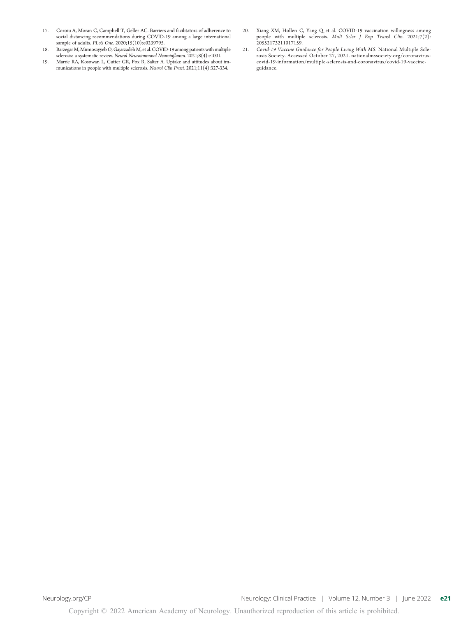- 17. Coroiu A, Moran C, Campbell T, Geller AC. Barriers and facilitators of adherence to social distancing recommendations during COVID-19 among a large international sample of adults. PLoS One. 2020;15(10):e0239795.
- 18. Barzegar M, Mirmosayyeb O, Gajarzadeh M, et al. COVID-19 among patients with multiple sclerosis: a systematic review. Neurol Neuroimmunol Neuroinflamm. 2021;8(4):e1001.
- 19. Marrie RA, Kosowan L, Cutter GR, Fox R, Salter A. Uptake and attitudes about im-<br>munizations in people with multiple sclerosis. Neurol Clin Pract. 2021;11(4):327-334.
- 20. Xiang XM, Hollen C, Yang Q et al. COVID-19 vaccination willingness among people with multiple sclerosis. Mult Scler J Exp Transl Clin. 2021;7(2): 20552173211017159.
- 21. Covid-19 Vaccine Guidance for People Living With MS. National Multiple Sclerosis Society. Accessed October 27, 2021. [nationalmssociety.org/coronavirus](https://www.nationalmssociety.org/coronavirus-covid-19-information/multiple-sclerosis-and-coronavirus/covid-19-vaccine-guidance)[covid-19-information/multiple-sclerosis-and-coronavirus/covid-19-vaccine](https://www.nationalmssociety.org/coronavirus-covid-19-information/multiple-sclerosis-and-coronavirus/covid-19-vaccine-guidance)[guidance.](https://www.nationalmssociety.org/coronavirus-covid-19-information/multiple-sclerosis-and-coronavirus/covid-19-vaccine-guidance)